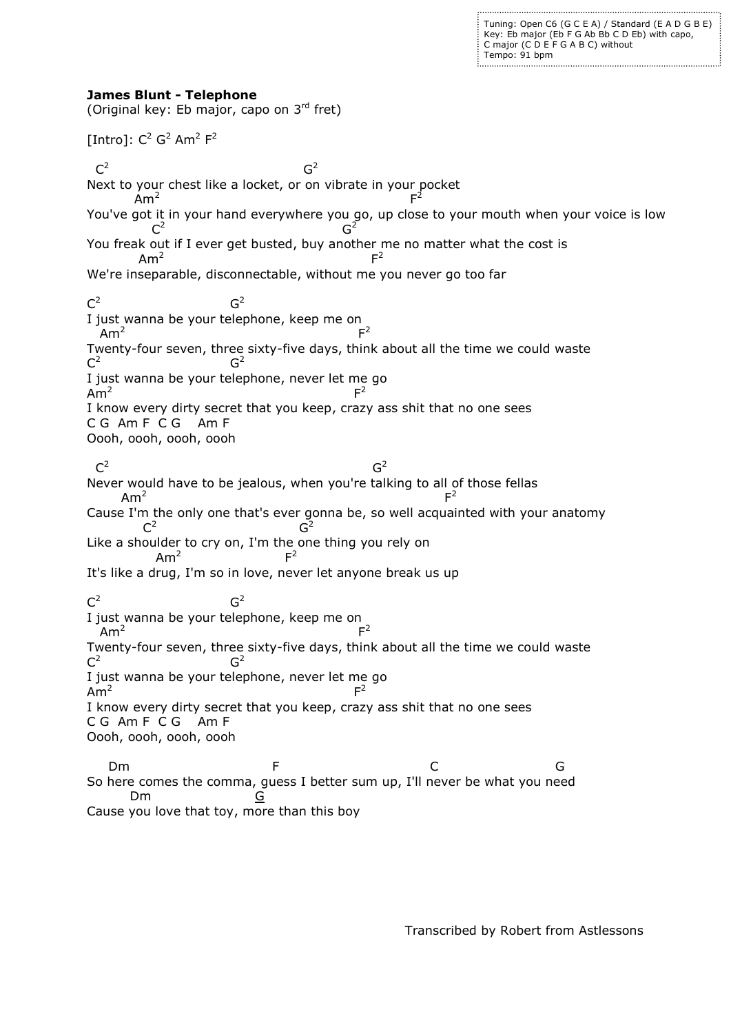Tuning: Open C6 (G C E A) / Standard (E A D G B E) Key: Eb major (Eb F G Ab Bb C D Eb) with capo, C major (C D E F G A B C) without Tempo: 91 bpm

## **James Blunt - Telephone**

(Original key: Eb major, capo on 3rd fret) [Intro]:  $C^2 G^2 A m^2 F^2$  $C^2$ General Contract of the Contract of General Contract of the Contract of Contract of Contract of Contract of Co  $G<sup>2</sup>$ Next to your chest like a locket, or on vibrate in your pocket  $Am<sup>2</sup>$ For the control of the control of the control of the F  $F^2$ You've got it in your hand everywhere you go, up close to your mouth when your voice is low<br>  $C^2$  $C^2$ **Graduate Contract Contract Contract Contract Contract Contract Contract Contract Contract Contract Contract C** You freak out if I ever get busted, buy another me no matter what the cost is  $Am<sup>2</sup>$ For the contract of the contract of the **F**  $F<sup>2</sup>$ We're inseparable, disconnectable, without me you never go too far  $C^2$ **GREET CONTROL**  $G<sup>2</sup>$ I just wanna be your telephone, keep me on  $Am<sup>2</sup>$ **Figure 1999** (1999) and the state of the Second Property of the Second Property of the Second Property of the Second  $F<sup>2</sup>$ Twenty-four seven, three sixty-five days, think about all the time we could waste  $C^2$ **Graduate** Graduate Graduate G  $\mathsf{G}^2$ I just wanna be your telephone, never let me go  $Am<sup>2</sup>$ Fig. 2. The contract of the contract of the Fig.  $F^2$ I know every dirty secret that you keep, crazy ass shit that no one sees C G Am F C G Am F Oooh, oooh, oooh, oooh  $C^2$ General Contract of the Contract of the Contract of General Contract of the Contract of General Contract of Ge  $G<sup>2</sup>$ Never would have to be jealous, when you're talking to all of those fellas  $Am<sup>2</sup>$ For the contract of the contract of the contract of the contract of the contract of the contract of the contract of  $F<sup>2</sup>$ Cause I'm the only one that's ever gonna be, so well acquainted with your anatomy  $C^2$ General Control of General Control Co  $G^2$ Like a shoulder to cry on, I'm the one thing you rely on  $Am<sup>2</sup>$ Fig. 1. The Contract of the Property of the Property of the Property of the Property of the Property of the Pr  $F<sup>2</sup>$ It's like a drug, I'm so in love, never let anyone break us up  $C^2$ **Graduate** Graduate Graduate G  $G<sup>2</sup>$ I just wanna be your telephone, keep me on  $Am<sup>2</sup>$ For the contract of the contract of the F 2 Twenty-four seven, three sixty-five days, think about all the time we could waste  $C^2$ **Graduate** Graduate Graduate G  $G<sup>2</sup>$ I just wanna be your telephone, never let me go  $Am<sup>2</sup>$ For the contract of the contract of the F  $F<sup>2</sup>$ I know every dirty secret that you keep, crazy ass shit that no one sees C G Am F C G Am F Oooh, oooh, oooh, oooh Dm F C G So here comes the comma, guess I better sum up, I'll never be what you need Dm <u>G</u>

Cause you love that toy, more than this boy

Transcribed by Robert from Astlessons